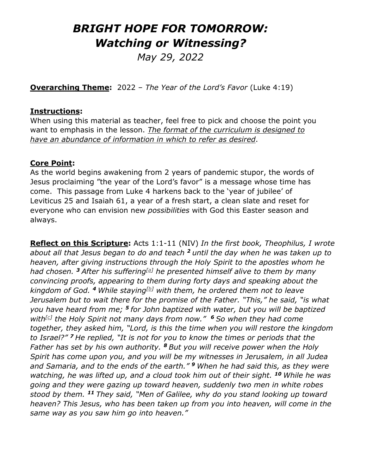# *BRIGHT HOPE FOR TOMORROW: Watching or Witnessing?*

*May 29, 2022* 

**Overarching Theme:** 2022 – *The Year of the Lord's Favor* (Luke 4:19)

#### **Instructions:**

When using this material as teacher, feel free to pick and choose the point you want to emphasis in the lesson. *The format of the curriculum is designed to have an abundance of information in which to refer as desired*.

#### **Core Point:**

As the world begins awakening from 2 years of pandemic stupor, the words of Jesus proclaiming "the year of the Lord's favor" is a message whose time has come. This passage from Luke 4 harkens back to the 'year of jubilee' of Leviticus 25 and Isaiah 61, a year of a fresh start, a clean slate and reset for everyone who can envision new *possibilities* with God this Easter season and always.

**Reflect on this Scripture:** Acts 1:1-11 (NIV) *In the first book, Theophilus, I wrote about all that Jesus began to do and teach <sup>2</sup>until the day when he was taken up to heaven, after giving instructions through the Holy Spirit to the apostles whom he had chosen. <sup>3</sup>After his suffering[\[a\]](https://www.biblegateway.com/passage/?search=Acts+1%3A1-11&version=NRSVUE#fen-NRSVUE-26916a) he presented himself alive to them by many convincing proofs, appearing to them during forty days and speaking about the kingdom of God. <sup>4</sup>While staying[\[b\]](https://www.biblegateway.com/passage/?search=Acts+1%3A1-11&version=NRSVUE#fen-NRSVUE-26917b) with them, he ordered them not to leave Jerusalem but to wait there for the promise of the Father. "This," he said, "is what you have heard from me; <sup>5</sup>for John baptized with water, but you will be baptized with[\[c\]](https://www.biblegateway.com/passage/?search=Acts+1%3A1-11&version=NRSVUE#fen-NRSVUE-26918c) the Holy Spirit not many days from now." <sup>6</sup>So when they had come together, they asked him, "Lord, is this the time when you will restore the kingdom to Israel?" <sup>7</sup>He replied, "It is not for you to know the times or periods that the Father has set by his own authority. <sup>8</sup>But you will receive power when the Holy Spirit has come upon you, and you will be my witnesses in Jerusalem, in all Judea and Samaria, and to the ends of the earth." <sup>9</sup>When he had said this, as they were watching, he was lifted up, and a cloud took him out of their sight. <sup>10</sup> While he was going and they were gazing up toward heaven, suddenly two men in white robes stood by them. <sup>11</sup> They said, "Men of Galilee, why do you stand looking up toward heaven? This Jesus, who has been taken up from you into heaven, will come in the same way as you saw him go into heaven."*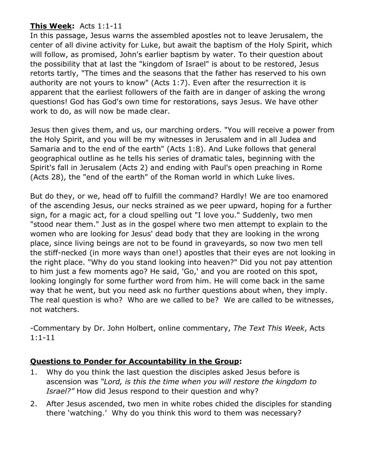### **This Week:** Acts 1:1-11

In this passage, Jesus warns the assembled apostles not to leave Jerusalem, the center of all divine activity for Luke, but await the baptism of the Holy Spirit, which will follow, as promised, John's earlier baptism by water. To their question about the possibility that at last the "kingdom of Israel" is about to be restored, Jesus retorts tartly, "The times and the seasons that the father has reserved to his own authority are not yours to know" (Acts 1:7). Even after the resurrection it is apparent that the earliest followers of the faith are in danger of asking the wrong questions! God has God's own time for restorations, says Jesus. We have other work to do, as will now be made clear.

Jesus then gives them, and us, our marching orders. "You will receive a power from the Holy Spirit, and you will be my witnesses in Jerusalem and in all Judea and Samaria and to the end of the earth" (Acts 1:8). And Luke follows that general geographical outline as he tells his series of dramatic tales, beginning with the Spirit's fall in Jerusalem (Acts 2) and ending with Paul's open preaching in Rome (Acts 28), the "end of the earth" of the Roman world in which Luke lives.

But do they, or we, head off to fulfill the command? Hardly! We are too enamored of the ascending Jesus, our necks strained as we peer upward, hoping for a further sign, for a magic act, for a cloud spelling out "I love you." Suddenly, two men "stood near them." Just as in the gospel where two men attempt to explain to the women who are looking for Jesus' dead body that they are looking in the wrong place, since living beings are not to be found in graveyards, so now two men tell the stiff-necked (in more ways than one!) apostles that their eyes are not looking in the right place. "Why do you stand looking into heaven?" Did you not pay attention to him just a few moments ago? He said, 'Go,' and you are rooted on this spot, looking longingly for some further word from him. He will come back in the same way that he went, but you need ask no further questions about when, they imply. The real question is who? Who are we called to be? We are called to be witnesses, not watchers.

-Commentary by Dr. John Holbert, online commentary, *The Text This Week*, Acts 1:1-11

#### **Questions to Ponder for Accountability in the Group:**

- 1. Why do you think the last question the disciples asked Jesus before is ascension was *"Lord, is this the time when you will restore the kingdom to Israel?"* How did Jesus respond to their question and why?
- 2. After Jesus ascended, two men in white robes chided the disciples for standing there 'watching.' Why do you think this word to them was necessary?